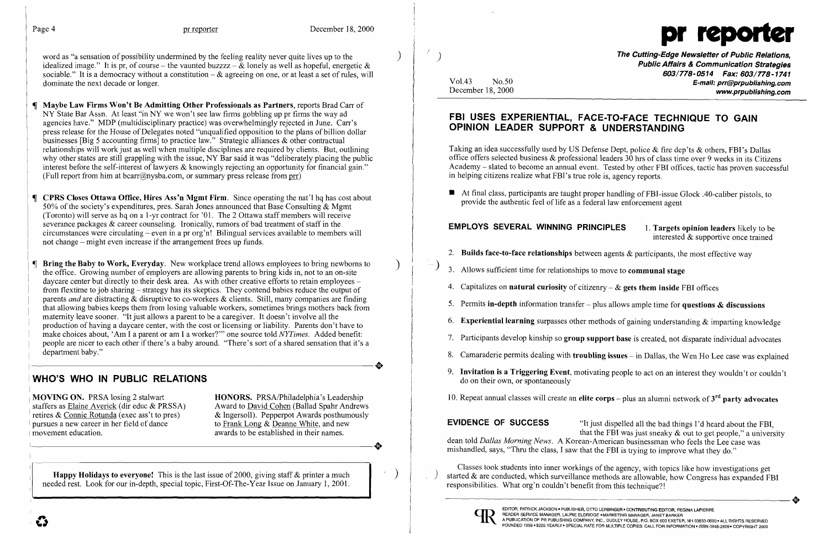word as "a sensation of possibility undermined by the feeling reality never quite lives up to the idealized image." It is pr, of course – the vaunted buzzzz –  $\&$  lonely as well as hopeful, energetic  $\&$ sociable." It is a democracy without a constitution  $-\alpha$  agreeing on one, or at least a set of rules, will dominate the next decade or longer.

) The Cutting-Edge Newsletter of Public Relations, Public Affairs & Communication Strategies 603/778-0514 Fax: 603/778-1741 Vol.43 No.50 **E-mail: prr@prpublishing.com**<br>December 18, 2000 **E-mail: prr@prpublishing.com** www.prpublishing.com

8. Camaraderie permits dealing with troubling issues - in Dallas, the Wen Ho Lee case was explained

MOVING ON. PRSA losing 2 stalwart **HONORS.** PRSA/Philadelphia's Leadership 10. Repeat annual classes will create an elite corps – plus an alumni network of 3<sup>rd</sup> party advocates

■ At final class, participants are taught proper handling of FBI-issue Glock .40-caliber pistols, to provide the authentic feel of life as a federal law enforcement agent

### **EMPLOYS SEVERAL WINNING PRINCIPLES** 1. Targets opinion leaders likely to be interested & supportive once trained

- 2. Builds face-to-face relationships between agents  $\&$  participants, the most effective way
- 
- 
- 
- 
- 
- 
- WHO'S WHO IN PUBLIC RELATIONS **WHO'S WHO IN PUBLIC RELATIONS 19. Invitation is a Triggering Event**, motivating people to act on an interest they wouldn't or couldn't
	-

pursues a new career in her field of dance to Frank Long & Deanne White, and new **EVIDENCE OF SUCCESS** "It just dispelled all the bad things I'd heard about the FBI, that the FBI was just sneaky & out to get people," a university dean told *Dallas Morning News*. A Korean-American businessman who feels the Lee case was pursues a new career in her field of dance to Frank Long & Deanne White, and new<br>awards to be established in their names.<br>**EVIDENCE OF SUCCESS** "It just dispelled all the bad things I'd heard abo<br>that the FBI was just snea

**Examplement Act of 2000**, giving staff & printer a much Classes took students into inner workings of the agency, with topics like how investigations get Stappy Holidays to everyone! This is the last issue of 2000, giving started & are conducted, which surveillance methods are allowable, how Congress has expanded FBI<br>responsibilities. What org'n couldn't benefit from this technique?!





## FBI USES EXPERIENTIAL, FACE-TO-FACE TECHNIQUE TO GAIN OPINION LEADER SUPPORT & UNDERSTANDING

Taking an idea successfully used by US Defense Dept, police & fire dep'ts & others, FBI's Dallas office offers selected business & professional leaders 30 hrs of class time over 9 weeks in its Citizens Academy - slated to become an annual event. Tested by other FBI offices, tactic has proven successful in helping citizens realize what FBI's true role is, agency reports.

- Maybe Law Firms Won't Be Admitting Other Professionals as Partners, reports Brad Carr of NY State Bar Assn. At least "in NY we won't see law firms gobbling up pr firms the way ad agencies have." MDP (multidisciplinary practice) was overwhelmingly rejected in June. Carr's press release for the House of Delegates noted "unqualified opposition to the plans of billion dollar businesses [Big 5 accounting firms] to practice law." Strategic alliances & other contractual relationships will work just as well when multiple disciplines are required by clients. But, outlining why other states are still grappling with the issue, NY Bar said it was "deliberately placing the public interest before the self-interest of lawyers  $\&$  knowingly rejecting an opportunity for financial gain." (Full report from him at bcarr@nysba.com, or summary press release from prr)
- CPRS Closes Ottawa Office, Hires Ass'n Mgmt Firm. Since operating the nat'l hq has cost about 50% of the society's expenditures, pres. Sarah Jones announced that Base Consulting & Mgmt (Toronto) will serve as hq on a l-yr contract for '01. The 2 Ottawa staff members will receive severance packages & career counseling. Ironically, rumors of bad treatment of staff in the circumstances were circulating - even in apr org'n! Bilingual services available to members will not change - might even increase if the arrangement frees up funds.
- **Bring the Baby to Work, Everyday.** New workplace trend allows employees to bring newborns to  $\left( \frac{1}{2} \right)$  3. Allows sufficient time for relationships to move to **communal stage** daycare center but directly to their de From flextime to job sharing – strategy has its skeptics. They contend babies reduce the output of<br>parents and are distracting & disruptive to co-workers & clients. Still, many companies are finding parents and are distributed to the workers of consumers of the constitution of the constraints of the constraints of the constraints of the constant of the constant of the constitution of the constant allowing babies keeps maternity leave soulet. It just allows a parent to be a caregivel. It doesn't involve an the<br>moduction of having a daycare center, with the cost or licensing or liability. Parents don't have to<br>make choices about, 'Am I a make choices about, 'Am I a parent or am I a worker?'" one source told *NYI mes*. Added benefit:<br>people are nicer to each other if there's a baby around. "There's sort of a shared sensation that it's a<br><br><br><br><br><br><br><br><br><br><br><br><br><br><br><br><br><br><br><br><br> department baby."

staffers as <u>Elaine Averick</u> (dir educ & PRSSA) Award to <u>David Cohen</u> (Ballad Spahr Andrews retires & Connie Rotunda (exec ass't to pres) & Ingersoll). Pepperpot Awards posthumously retires & Connie Rotunda (exec ass't to pres). movement education. awards to be established in their names.

• 

needed rest. Look for our in-depth, special topic, First-Of-The-Year Issue on January 1, 2001. responsibilities. What org'n couldn't benefit from this technique?!

 $\mathcal{L}$